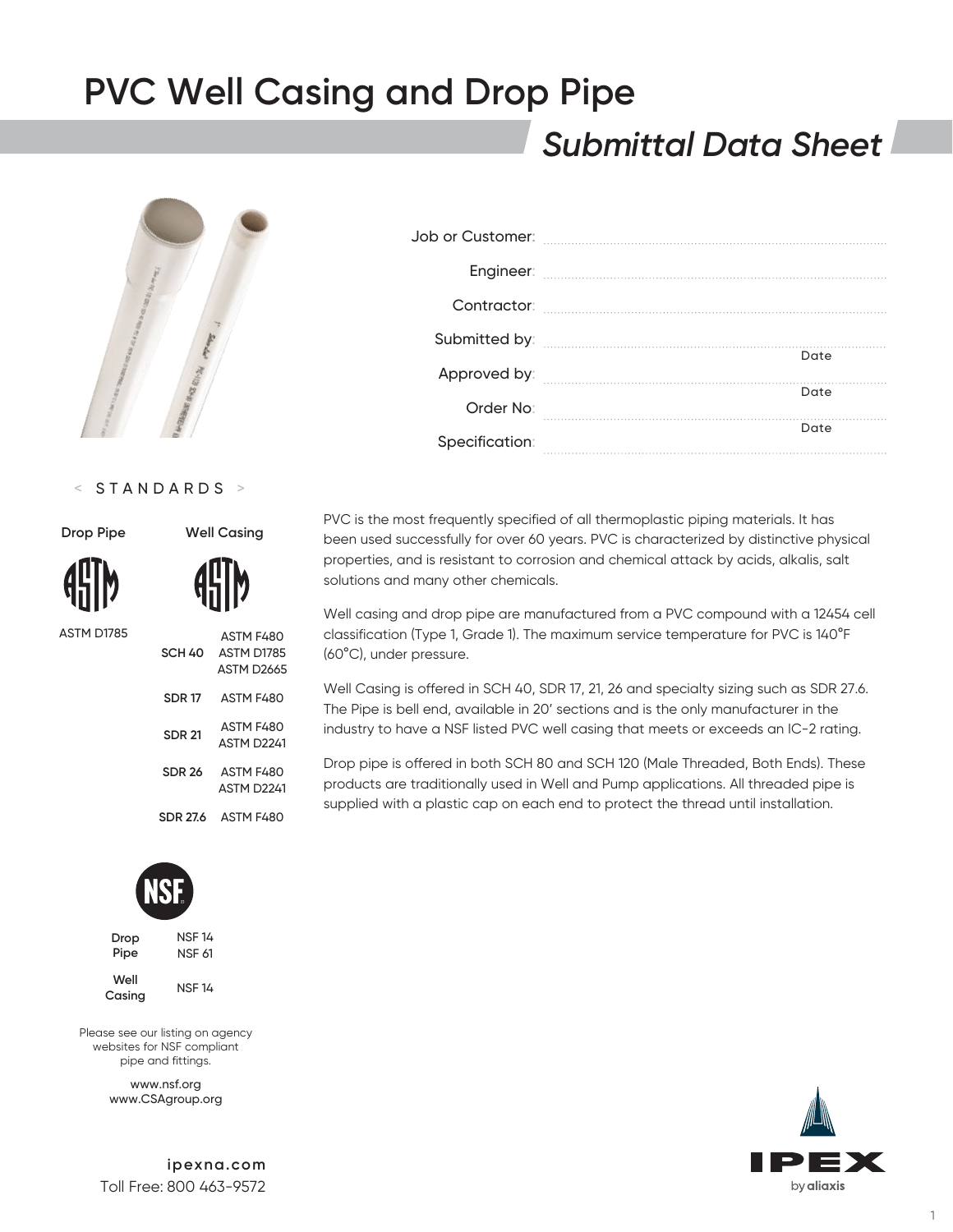## *Submittal Data Sheet*



#### < STANDARDS >

| <b>Drop Pipe</b> | <b>Well Casing</b> |                                                    |  |  |
|------------------|--------------------|----------------------------------------------------|--|--|
| <b>AHIM</b>      |                    | <b>AHM</b>                                         |  |  |
| ASTM D1785       |                    | <b>ASTM F4</b><br>SCH 40 ASTM DT<br><b>ASTM D2</b> |  |  |
|                  | <b>SDR 17</b>      | ASTM F4                                            |  |  |
|                  | <b>SDR 21</b>      | ASTM F4<br>ASTM <sub>D</sub>                       |  |  |
|                  | con az             | ACTM <sub>E</sub>                                  |  |  |

| SCH 40        | ASTM F480<br>ASTM D1785<br><b>ASTM D2665</b> |
|---------------|----------------------------------------------|
| SDR 17        | ASTM F480                                    |
| <b>SDR 21</b> | ASTM F480<br>ASTM D2241                      |
| <b>SDR 26</b> | ASTM F480<br>ASTM D <sub>2241</sub>          |
| SDR 27.6      | ASTM F480                                    |



| Drop | <b>NSF 14</b> |
|------|---------------|
| Pipe | NSF 61        |
| Well |               |

**Casing** NSF 14

Please see our listing on agency websites for NSF compliant pipe and fittings.

> www.nsf.org www.CSAgroup.org

**ipexna.com** Toll Free: 800 463-9572

| Contractor:    |      |
|----------------|------|
|                |      |
| Approved by:   | Date |
| Order No:      | Date |
| Specification: | Date |

PVC is the most frequently specified of all thermoplastic piping materials. It has been used successfully for over 60 years. PVC is characterized by distinctive physical properties, and is resistant to corrosion and chemical attack by acids, alkalis, salt solutions and many other chemicals.

Well casing and drop pipe are manufactured from a PVC compound with a 12454 cell classification (Type 1, Grade 1). The maximum service temperature for PVC is 140°F (60°C), under pressure.

Well Casing is offered in SCH 40, SDR 17, 21, 26 and specialty sizing such as SDR 27.6. The Pipe is bell end, available in 20' sections and is the only manufacturer in the industry to have a NSF listed PVC well casing that meets or exceeds an IC-2 rating.

Drop pipe is offered in both SCH 80 and SCH 120 (Male Threaded, Both Ends). These products are traditionally used in Well and Pump applications. All threaded pipe is supplied with a plastic cap on each end to protect the thread until installation.



1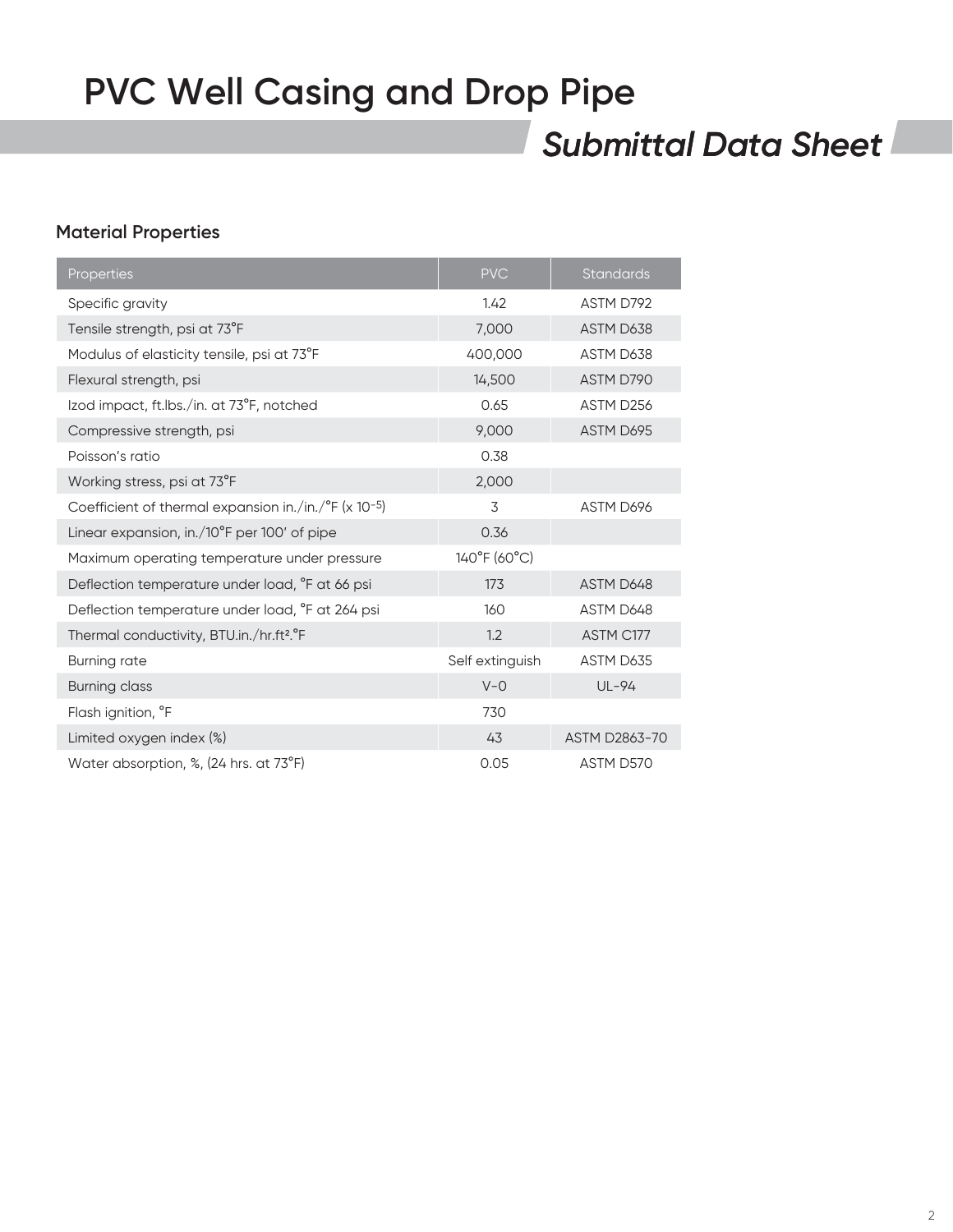## *Submittal Data Sheet*

### **Material Properties**

| Properties                                                        | <b>PVC</b>      | <b>Standards</b> |
|-------------------------------------------------------------------|-----------------|------------------|
| Specific gravity                                                  | 1.42            | ASTM D792        |
| Tensile strength, psi at 73°F                                     | 7,000           | ASTM D638        |
| Modulus of elasticity tensile, psi at 73°F                        | 400,000         | ASTM D638        |
| Flexural strength, psi                                            | 14,500          | ASTM D790        |
| Izod impact, ft.lbs./in. at 73°F, notched                         | 0.65            | ASTM D256        |
| Compressive strength, psi                                         | 9,000           | ASTM D695        |
| Poisson's ratio                                                   | 0.38            |                  |
| Working stress, psi at 73°F                                       | 2,000           |                  |
| Coefficient of thermal expansion in./in./°F (x 10-5)              | 3               | ASTM D696        |
| Linear expansion, in./10°F per 100' of pipe                       | 0.36            |                  |
| Maximum operating temperature under pressure                      | 140°F (60°C)    |                  |
| Deflection temperature under load, <sup>o</sup> F at 66 psi       | 173             | ASTM D648        |
| Deflection temperature under load, <sup>o</sup> F at 264 psi      | 160             | ASTM D648        |
| Thermal conductivity, BTU.in./hr.ft <sup>2</sup> . <sup>o</sup> F | 1.2             | ASTM C177        |
| <b>Burning rate</b>                                               | Self extinguish | ASTM D635        |
| <b>Burning class</b>                                              | $V - O$         | $UL-94$          |
| Flash ignition, °F                                                | 730             |                  |
| Limited oxygen index (%)                                          | 43              | ASTM D2863-70    |
| Water absorption, %, (24 hrs. at 73°F)                            | 0.05            | ASTM D570        |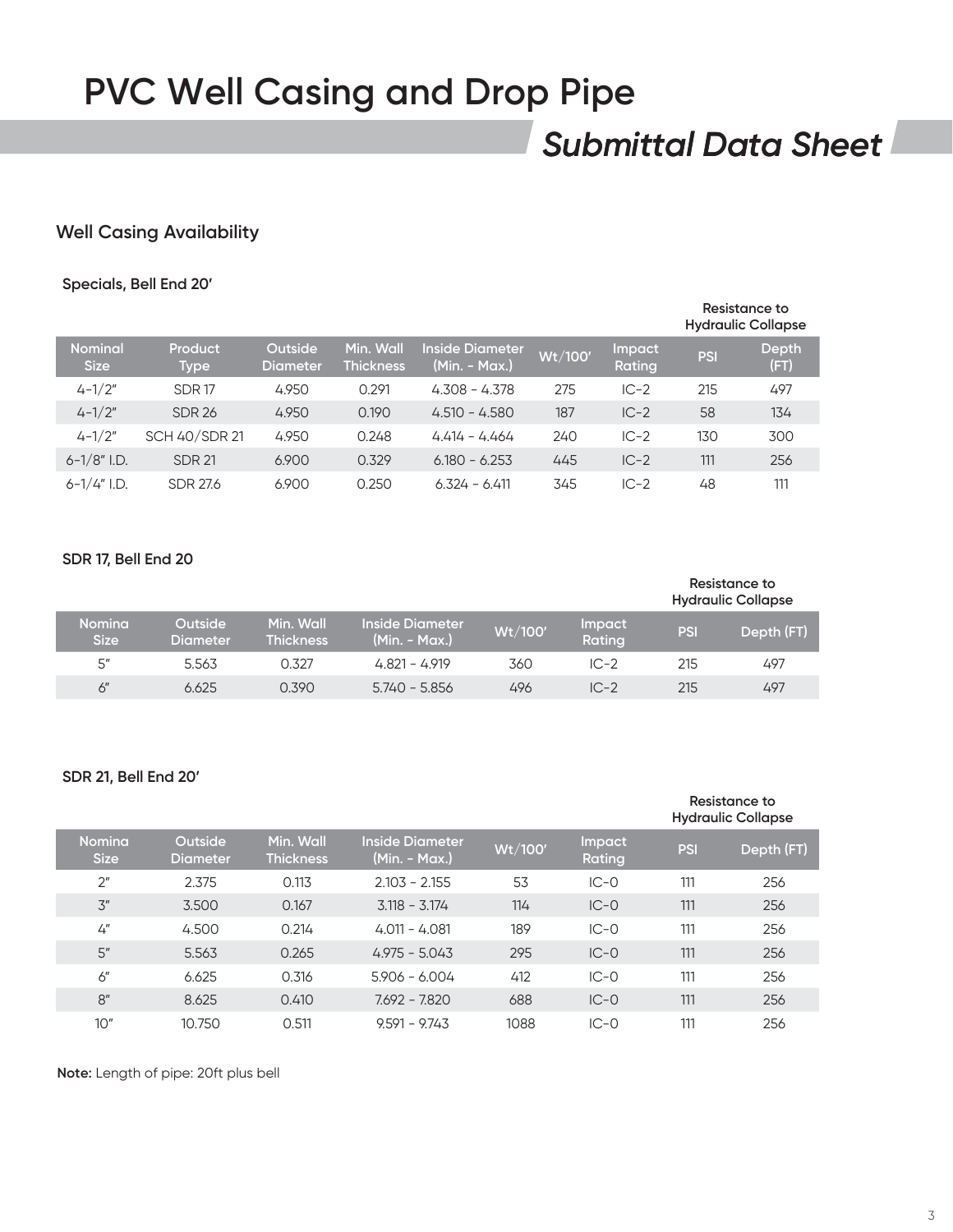## *Submittal Data Sheet*

### **Well Casing Availability**

#### **Specials, Bell End 20'**

|                               |                        |                            |                               |                                  |         |                         |            | Resistance to<br><b>Hydraulic Collapse</b> |
|-------------------------------|------------------------|----------------------------|-------------------------------|----------------------------------|---------|-------------------------|------------|--------------------------------------------|
| <b>Nominal</b><br><b>Size</b> | Product<br><b>Type</b> | Outside<br><b>Diameter</b> | Min. Wall<br><b>Thickness</b> | Inside Diameter<br>(Min. - Max.) | Wt/100' | <b>Impact</b><br>Rating | <b>PSI</b> | Depth<br>(FT)                              |
| $4 - 1/2"$                    | <b>SDR17</b>           | 4.950                      | 0.291                         | $4.308 - 4.378$                  | 275     | $IC-2$                  | 215        | 497                                        |
| $4 - 1/2"$                    | <b>SDR 26</b>          | 4.950                      | 0.190                         | $4.510 - 4.580$                  | 187     | $IC-2$                  | 58         | 134                                        |
| $4 - 1/2"$                    | <b>SCH 40/SDR 21</b>   | 4.950                      | 0.248                         | $4414 - 4464$                    | 240     | $IC-2$                  | 130        | 300                                        |
| $6 - 1/8$ " I.D.              | <b>SDR 21</b>          | 6.900                      | 0.329                         | $6.180 - 6.253$                  | 445     | $IC-2$                  | 111        | 256                                        |
| $6-1/4$ " I.D.                | <b>SDR 27.6</b>        | 6.900                      | 0.250                         | $6.324 - 6.411$                  | 345     | $IC-2$                  | 48         | 111                                        |

#### **SDR 17, Bell End 20**

|                              |                            |                               |                                           |        |                  |            | Resistance to<br><b>Hydraulic Collapse</b> |
|------------------------------|----------------------------|-------------------------------|-------------------------------------------|--------|------------------|------------|--------------------------------------------|
| <b>Nomina</b><br><b>Size</b> | <b>Outside</b><br>Diameter | Min. Wall<br><b>Thickness</b> | <b>Inside Diameter</b><br>$(Min. - Max.)$ | Wt/100 | Impact<br>Rating | <b>PSI</b> | Depth (FT)                                 |
| 5''                          | 5.563                      | 0.327                         | $4.821 - 4.919$                           | 360    | $IC-2$           | 215        | 497                                        |
| 6"                           | 6.625                      | 0.390                         | 5.740 - 5.856                             | 496    | $IC-2$           | 215        | 497                                        |

#### **SDR 21, Bell End 20'**

|                              |                                   |                               |                                  |         |                         |            | Resistance to<br><b>Hydraulic Collapse</b> |
|------------------------------|-----------------------------------|-------------------------------|----------------------------------|---------|-------------------------|------------|--------------------------------------------|
| <b>Nomina</b><br><b>Size</b> | <b>Outside</b><br><b>Diameter</b> | Min. Wall<br><b>Thickness</b> | Inside Diameter<br>(Min. - Max.) | Wt/100' | <b>Impact</b><br>Rating | <b>PSI</b> | Depth (FT)                                 |
| 2 <sup>''</sup>              | 2.375                             | 0.113                         | $2.103 - 2.155$                  | 53      | $IC-0$                  | 111        | 256                                        |
| 3''                          | 3.500                             | 0.167                         | $3.118 - 3.174$                  | 114     | $IC-0$                  | 111        | 256                                        |
| 4''                          | 4.500                             | 0.214                         | $4.011 - 4.081$                  | 189     | $IC-0$                  | 111        | 256                                        |
| 5''                          | 5.563                             | 0.265                         | $4.975 - 5.043$                  | 295     | $IC-0$                  | 111        | 256                                        |
| 6"                           | 6.625                             | 0.316                         | $5.906 - 6.004$                  | 412     | $IC-0$                  | 111        | 256                                        |
| 8"                           | 8.625                             | 0.410                         | $7.692 - 7.820$                  | 688     | $IC-0$                  | 111        | 256                                        |
| 10"                          | 10.750                            | 0.511                         | $9.591 - 9.743$                  | 1088    | $IC-0$                  | 111        | 256                                        |

**Note:** Length of pipe: 20ft plus bell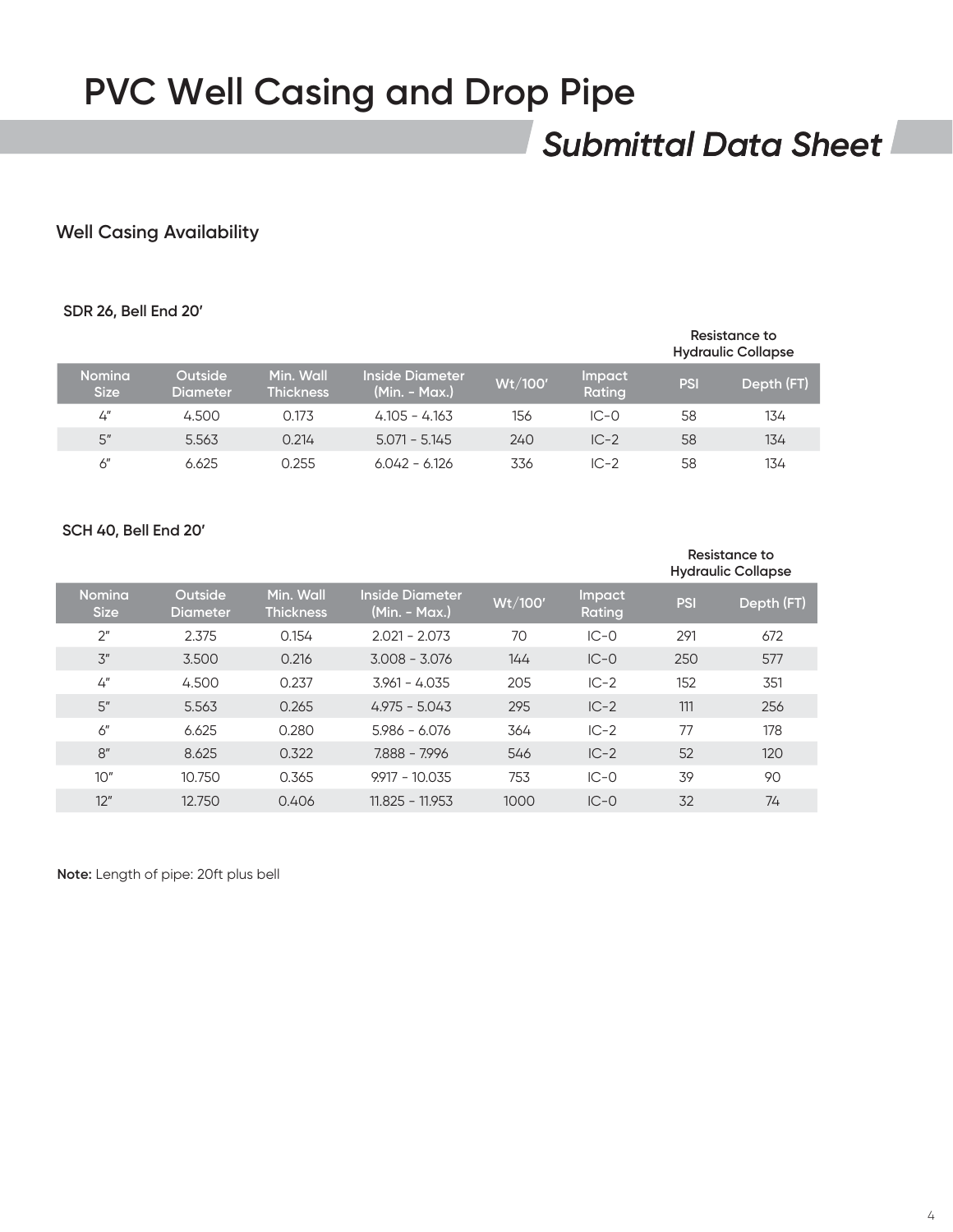## *Submittal Data Sheet*

### **Well Casing Availability**

#### **SDR 26, Bell End 20'**

#### **Resistance to Hydraulic Collapse**

| <b>Nomina</b><br><b>Size</b> | Outside<br><b>Diameter</b> | Min. Wall<br><b>Thickness</b> | <b>Inside Diameter</b><br>$(Min. - Max.)$ | Wt/100' | Impact<br>Rating | <b>PSI</b> | Depth (FT) |
|------------------------------|----------------------------|-------------------------------|-------------------------------------------|---------|------------------|------------|------------|
| 4''                          | 4.500                      | 0.173                         | $4.105 - 4.163$                           | 156     | $IC-0$           | 58         | 134        |
| 5"                           | 5.563                      | 0.214                         | $5.071 - 5.145$                           | 240     | $IC-2$           | 58         | 134        |
| 6"                           | 6.625                      | 0.255                         | $6.042 - 6.126$                           | 336     | $IC-2$           | 58         | 134        |
|                              |                            |                               |                                           |         |                  |            |            |

#### **SCH 40, Bell End 20'**

|                              |                            |                               |                                         |         |                         |            | Resistance to<br><b>Hydraulic Collapse</b> |
|------------------------------|----------------------------|-------------------------------|-----------------------------------------|---------|-------------------------|------------|--------------------------------------------|
| <b>Nomina</b><br><b>Size</b> | Outside<br><b>Diameter</b> | Min. Wall<br><b>Thickness</b> | <b>Inside Diameter</b><br>(Min. - Max.) | Wt/100' | <b>Impact</b><br>Rating | <b>PSI</b> | Depth (FT)                                 |
| 2 <sup>''</sup>              | 2.375                      | 0.154                         | $2.021 - 2.073$                         | 70      | $IC-0$                  | 291        | 672                                        |
| 3''                          | 3.500                      | 0.216                         | $3.008 - 3.076$                         | 144     | $IC-0$                  | 250        | 577                                        |
| 4''                          | 4.500                      | 0.237                         | $3.961 - 4.035$                         | 205     | $IC-2$                  | 152        | 351                                        |
| 5''                          | 5.563                      | 0.265                         | $4.975 - 5.043$                         | 295     | $IC-2$                  | 111        | 256                                        |
| 6''                          | 6.625                      | 0.280                         | $5.986 - 6.076$                         | 364     | $IC-2$                  | 77         | 178                                        |
| 8"                           | 8.625                      | 0.322                         | 7.888 - 7.996                           | 546     | $IC-2$                  | 52         | 120                                        |
| 10"                          | 10.750                     | 0.365                         | $9.917 - 10.035$                        | 753     | $IC-0$                  | 39         | 90                                         |
| 12"                          | 12.750                     | 0.406                         | $11.825 - 11.953$                       | 1000    | $IC-0$                  | 32         | 74                                         |

**Note:** Length of pipe: 20ft plus bell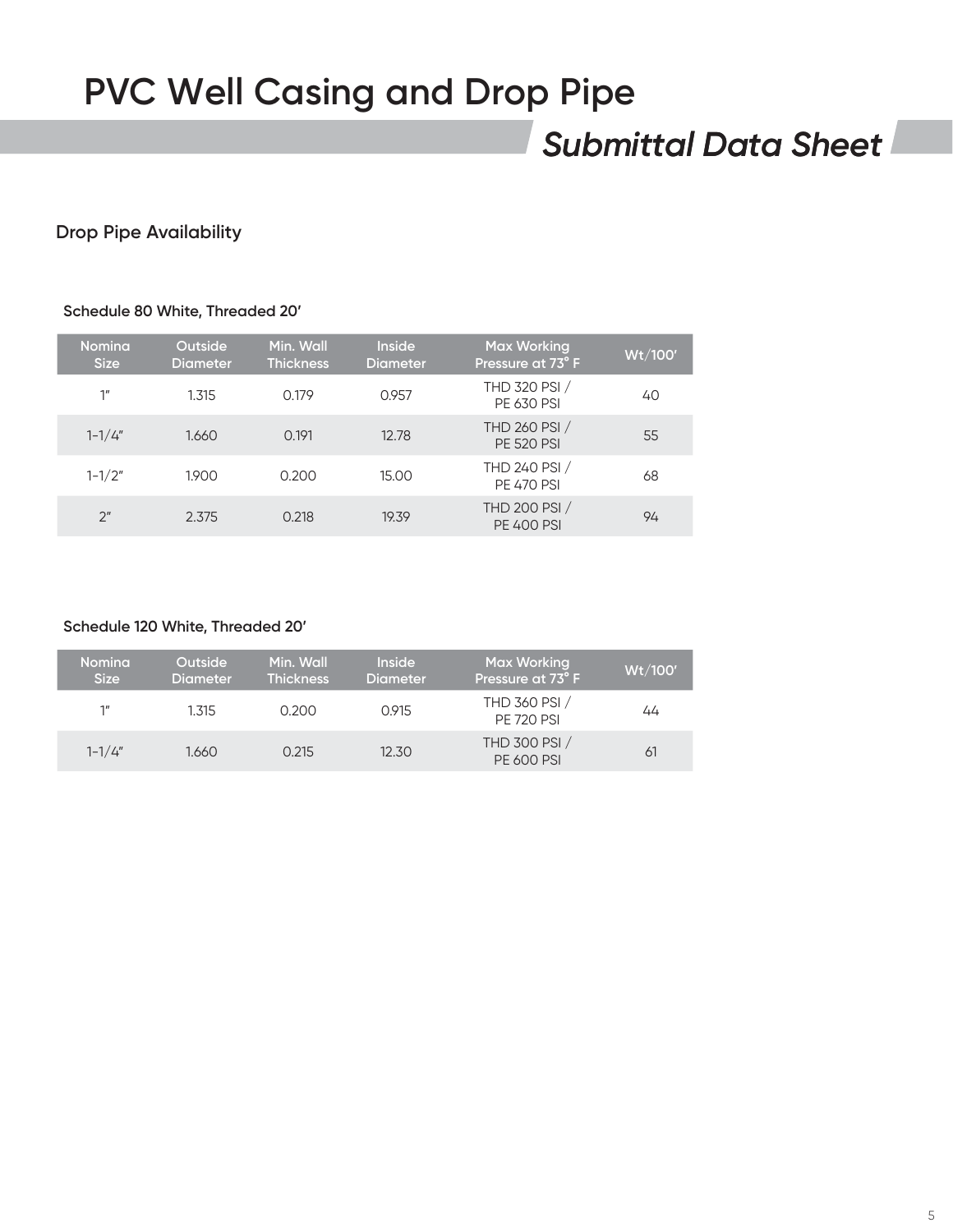## *Submittal Data Sheet*

### **Drop Pipe Availability**

#### **Schedule 80 White, Threaded 20'**

| <b>Nomina</b><br><b>Size</b> | Outside<br><b>Diameter</b> | Min. Wall<br><b>Thickness</b> | <b>Inside</b><br><b>Diameter</b> | <b>Max Working</b><br>Pressure at 73°F | Wt/100' |
|------------------------------|----------------------------|-------------------------------|----------------------------------|----------------------------------------|---------|
| 1''                          | 1.315                      | 0.179                         | 0.957                            | THD 320 PSI /<br><b>PE 630 PSI</b>     | 40      |
| $1 - 1/4"$                   | 1.660                      | 0.191                         | 12.78                            | THD 260 PSI /<br><b>PE 520 PSI</b>     | 55      |
| $1 - 1/2"$                   | 1.900                      | 0.200                         | 15.00                            | THD 240 PSI /<br><b>PE 470 PSI</b>     | 68      |
| 2 <sup>''</sup>              | 2.375                      | 0.218                         | 19.39                            | THD 200 PSI /<br><b>PE 400 PSI</b>     | 94      |

#### **Schedule 120 White, Threaded 20'**

| <b>Nomina</b><br><b>Size</b> | <b>Outside</b><br><b>Diameter</b> | Min. Wall<br><b>Thickness</b> | Inside<br><b>Diameter</b> | Max Working<br>Pressure at 73°F    | Wt/100' |
|------------------------------|-----------------------------------|-------------------------------|---------------------------|------------------------------------|---------|
| 1 <sup>II</sup>              | 1.315                             | 0.200                         | 0.915                     | THD 360 PSI /<br><b>PE 720 PSI</b> | 44      |
| $1 - 1/4"$                   | 1.660                             | 0.215                         | 12.30                     | THD 300 PSI /<br><b>PE 600 PSI</b> | 61      |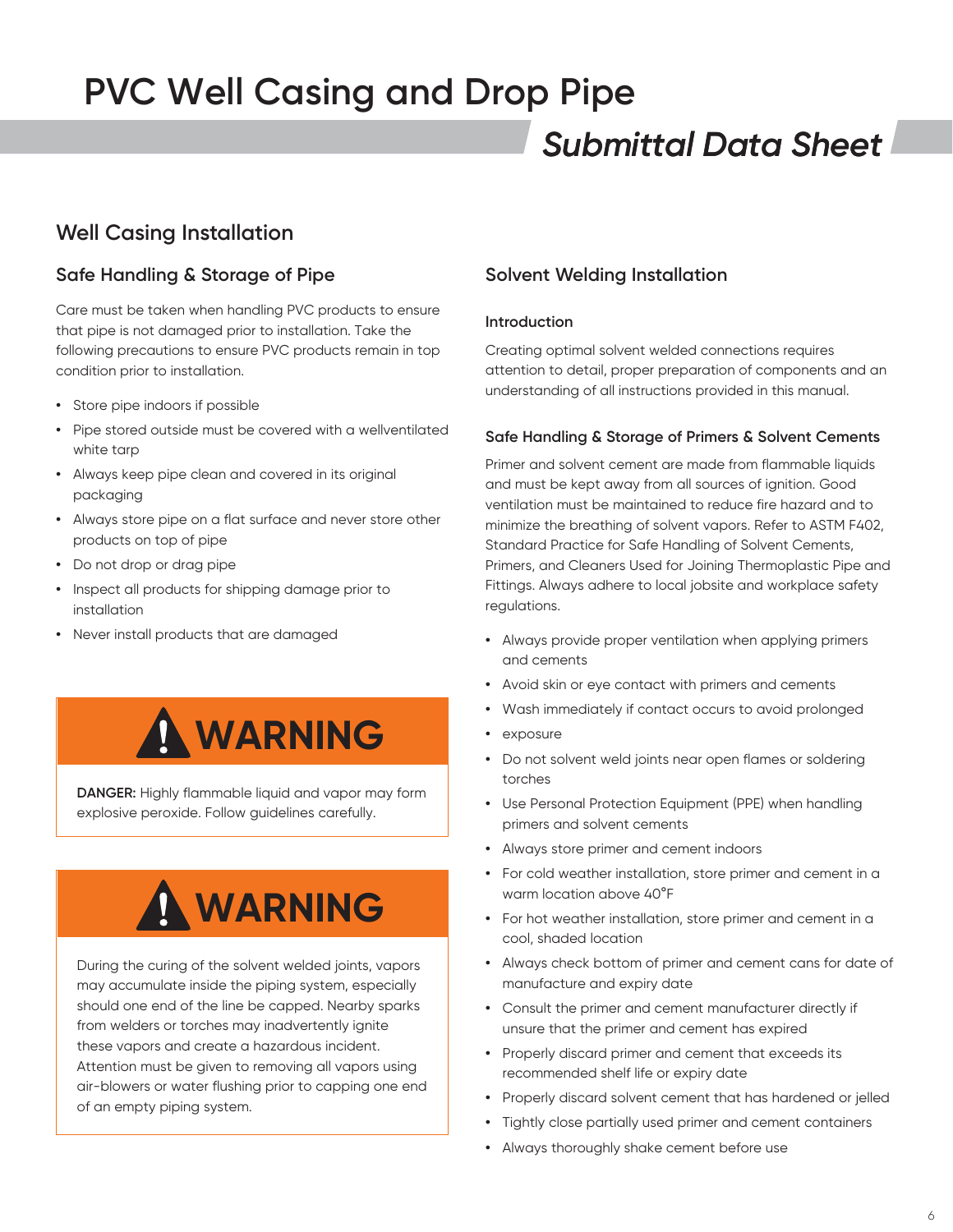## *Submittal Data Sheet*

## **Well Casing Installation**

### **Safe Handling & Storage of Pipe**

Care must be taken when handling PVC products to ensure that pipe is not damaged prior to installation. Take the following precautions to ensure PVC products remain in top condition prior to installation.

- **•** Store pipe indoors if possible
- **•** Pipe stored outside must be covered with a wellventilated white tarp
- **•** Always keep pipe clean and covered in its original packaging
- **•** Always store pipe on a flat surface and never store other products on top of pipe
- **•** Do not drop or drag pipe
- **•** Inspect all products for shipping damage prior to installation
- **•** Never install products that are damaged



**DANGER:** Highly flammable liquid and vapor may form explosive peroxide. Follow guidelines carefully.

# **WARNING**

During the curing of the solvent welded joints, vapors may accumulate inside the piping system, especially should one end of the line be capped. Nearby sparks from welders or torches may inadvertently ignite these vapors and create a hazardous incident. Attention must be given to removing all vapors using air-blowers or water flushing prior to capping one end of an empty piping system.

### **Solvent Welding Installation**

#### **Introduction**

Creating optimal solvent welded connections requires attention to detail, proper preparation of components and an understanding of all instructions provided in this manual.

#### **Safe Handling & Storage of Primers & Solvent Cements**

Primer and solvent cement are made from flammable liquids and must be kept away from all sources of ignition. Good ventilation must be maintained to reduce fire hazard and to minimize the breathing of solvent vapors. Refer to ASTM F402, Standard Practice for Safe Handling of Solvent Cements, Primers, and Cleaners Used for Joining Thermoplastic Pipe and Fittings. Always adhere to local jobsite and workplace safety regulations.

- **•** Always provide proper ventilation when applying primers and cements
- **•** Avoid skin or eye contact with primers and cements
- **•** Wash immediately if contact occurs to avoid prolonged
- **•** exposure
- **•** Do not solvent weld joints near open flames or soldering torches
- **•** Use Personal Protection Equipment (PPE) when handling primers and solvent cements
- **•** Always store primer and cement indoors
- **•** For cold weather installation, store primer and cement in a warm location above 40°F
- **•** For hot weather installation, store primer and cement in a cool, shaded location
- **•** Always check bottom of primer and cement cans for date of manufacture and expiry date
- **•** Consult the primer and cement manufacturer directly if unsure that the primer and cement has expired
- **•** Properly discard primer and cement that exceeds its recommended shelf life or expiry date
- **•** Properly discard solvent cement that has hardened or jelled
- **•** Tightly close partially used primer and cement containers
- **•** Always thoroughly shake cement before use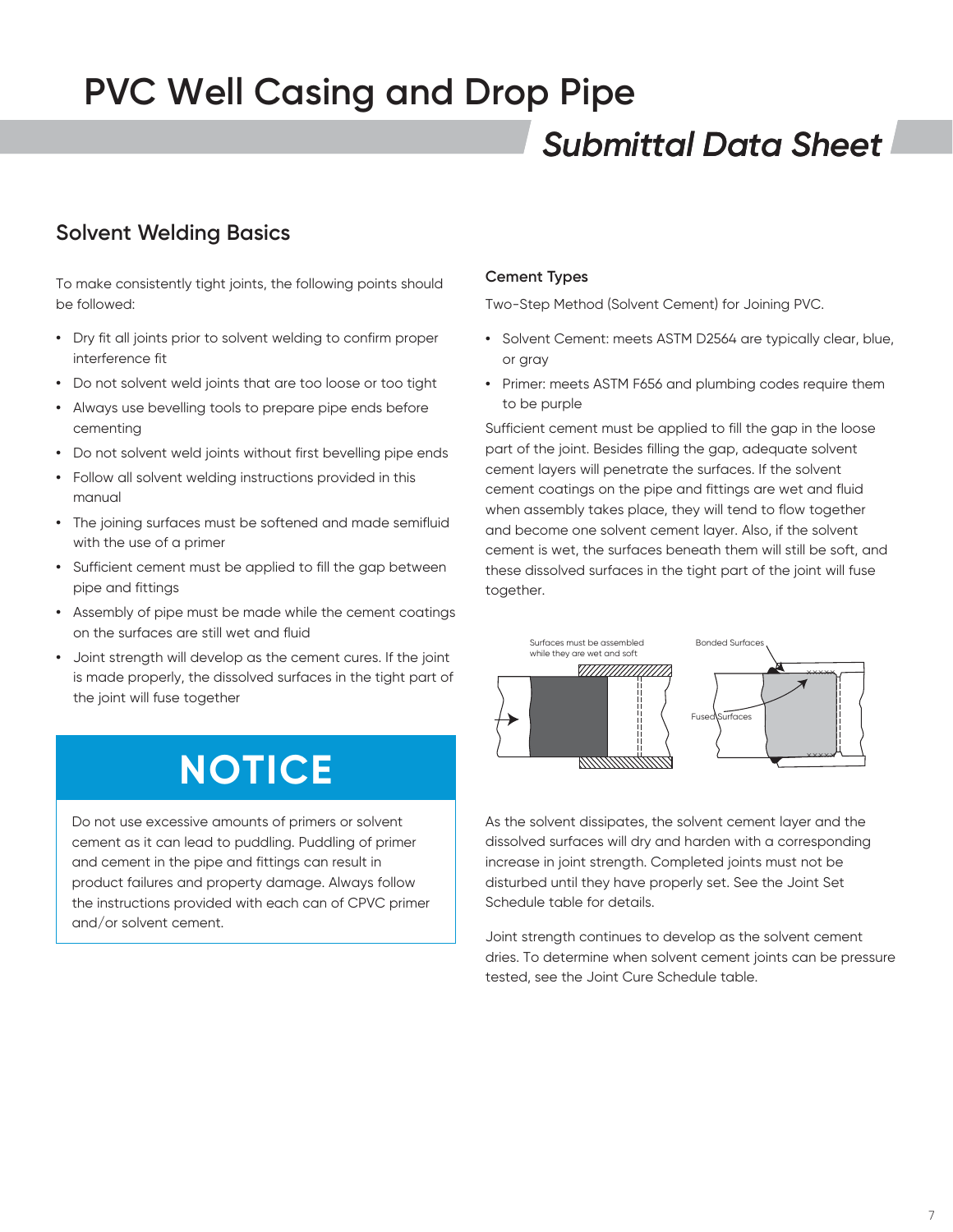## *Submittal Data Sheet*

## **Solvent Welding Basics**

To make consistently tight joints, the following points should be followed:

- **•** Dry fit all joints prior to solvent welding to confirm proper interference fit
- **•** Do not solvent weld joints that are too loose or too tight
- **•** Always use bevelling tools to prepare pipe ends before cementing
- **•** Do not solvent weld joints without first bevelling pipe ends
- **•** Follow all solvent welding instructions provided in this manual
- **•** The joining surfaces must be softened and made semifluid with the use of a primer
- **•** Sufficient cement must be applied to fill the gap between pipe and fittings
- **•** Assembly of pipe must be made while the cement coatings on the surfaces are still wet and fluid
- **•** Joint strength will develop as the cement cures. If the joint is made properly, the dissolved surfaces in the tight part of the joint will fuse together

# **NOTICE**

Do not use excessive amounts of primers or solvent cement as it can lead to puddling. Puddling of primer and cement in the pipe and fittings can result in product failures and property damage. Always follow the instructions provided with each can of CPVC primer and/or solvent cement.

#### **Cement Types**

Two-Step Method (Solvent Cement) for Joining PVC.

- **•** Solvent Cement: meets ASTM D2564 are typically clear, blue, or gray
- **•** Primer: meets ASTM F656 and plumbing codes require them to be purple

Sufficient cement must be applied to fill the gap in the loose part of the joint. Besides filling the gap, adequate solvent cement layers will penetrate the surfaces. If the solvent cement coatings on the pipe and fittings are wet and fluid when assembly takes place, they will tend to flow together and become one solvent cement layer. Also, if the solvent cement is wet, the surfaces beneath them will still be soft, and these dissolved surfaces in the tight part of the joint will fuse together.



As the solvent dissipates, the solvent cement layer and the dissolved surfaces will dry and harden with a corresponding increase in joint strength. Completed joints must not be disturbed until they have properly set. See the Joint Set Schedule table for details.

Joint strength continues to develop as the solvent cement dries. To determine when solvent cement joints can be pressure tested, see the Joint Cure Schedule table.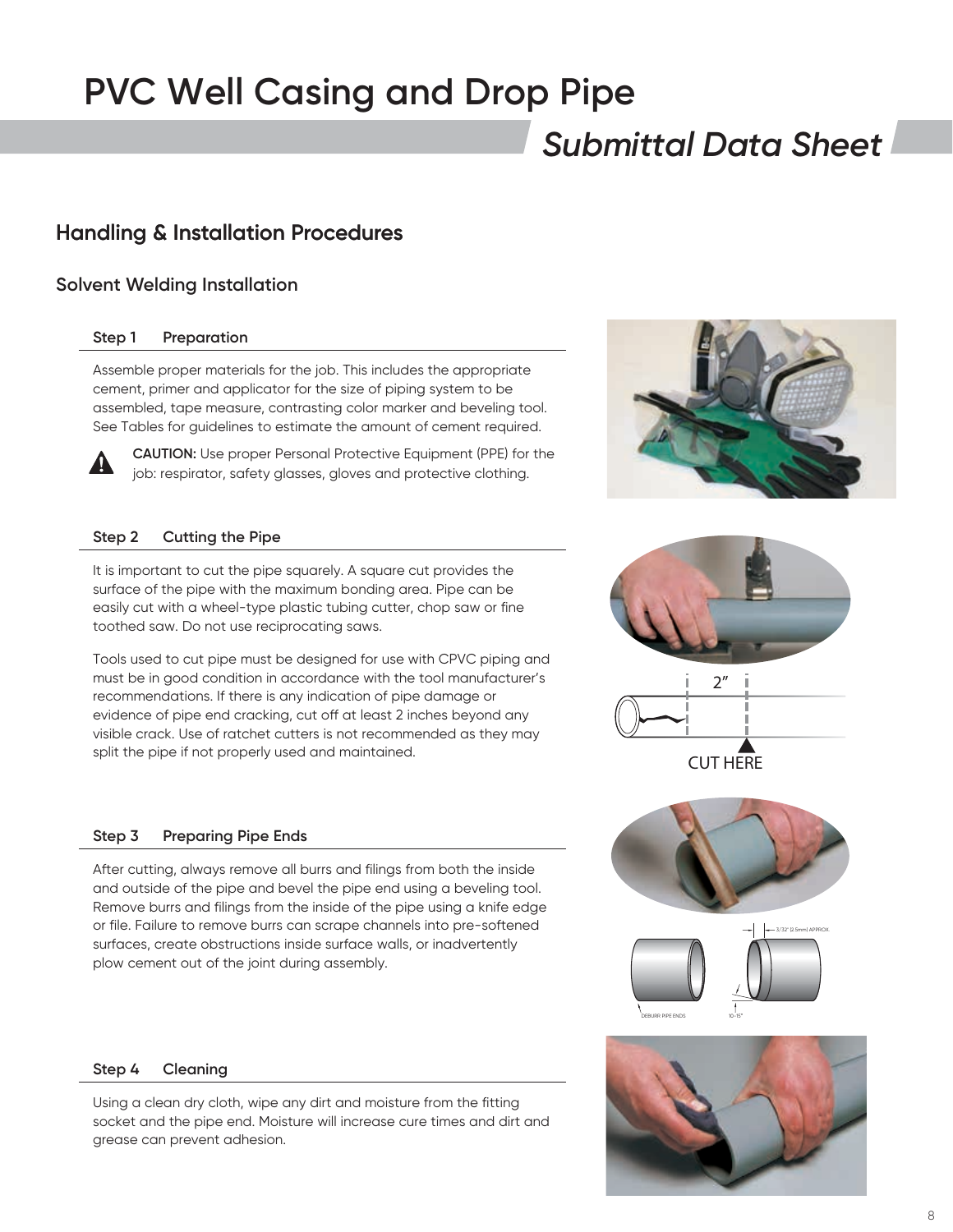## *Submittal Data Sheet*

### **Handling & Installation Procedures**

#### **Solvent Welding Installation**

#### **Step 1 Preparation**

Assemble proper materials for the job. This includes the appropriate cement, primer and applicator for the size of piping system to be assembled, tape measure, contrasting color marker and beveling tool. See Tables for guidelines to estimate the amount of cement required.



**CAUTION:** Use proper Personal Protective Equipment (PPE) for the job: respirator, safety glasses, gloves and protective clothing.

#### **Step 2 Cutting the Pipe**

It is important to cut the pipe squarely. A square cut provides the surface of the pipe with the maximum bonding area. Pipe can be easily cut with a wheel-type plastic tubing cutter, chop saw or fine toothed saw. Do not use reciprocating saws.

Tools used to cut pipe must be designed for use with CPVC piping and must be in good condition in accordance with the tool manufacturer's recommendations. If there is any indication of pipe damage or evidence of pipe end cracking, cut off at least 2 inches beyond any visible crack. Use of ratchet cutters is not recommended as they may split the pipe if not properly used and maintained.

#### **Step 3 Preparing Pipe Ends**

After cutting, always remove all burrs and filings from both the inside and outside of the pipe and bevel the pipe end using a beveling tool. Remove burrs and filings from the inside of the pipe using a knife edge or file. Failure to remove burrs can scrape channels into pre-softened surfaces, create obstructions inside surface walls, or inadvertently plow cement out of the joint during assembly.

#### **Step 4 Cleaning**

Using a clean dry cloth, wipe any dirt and moisture from the fitting socket and the pipe end. Moisture will increase cure times and dirt and grease can prevent adhesion.





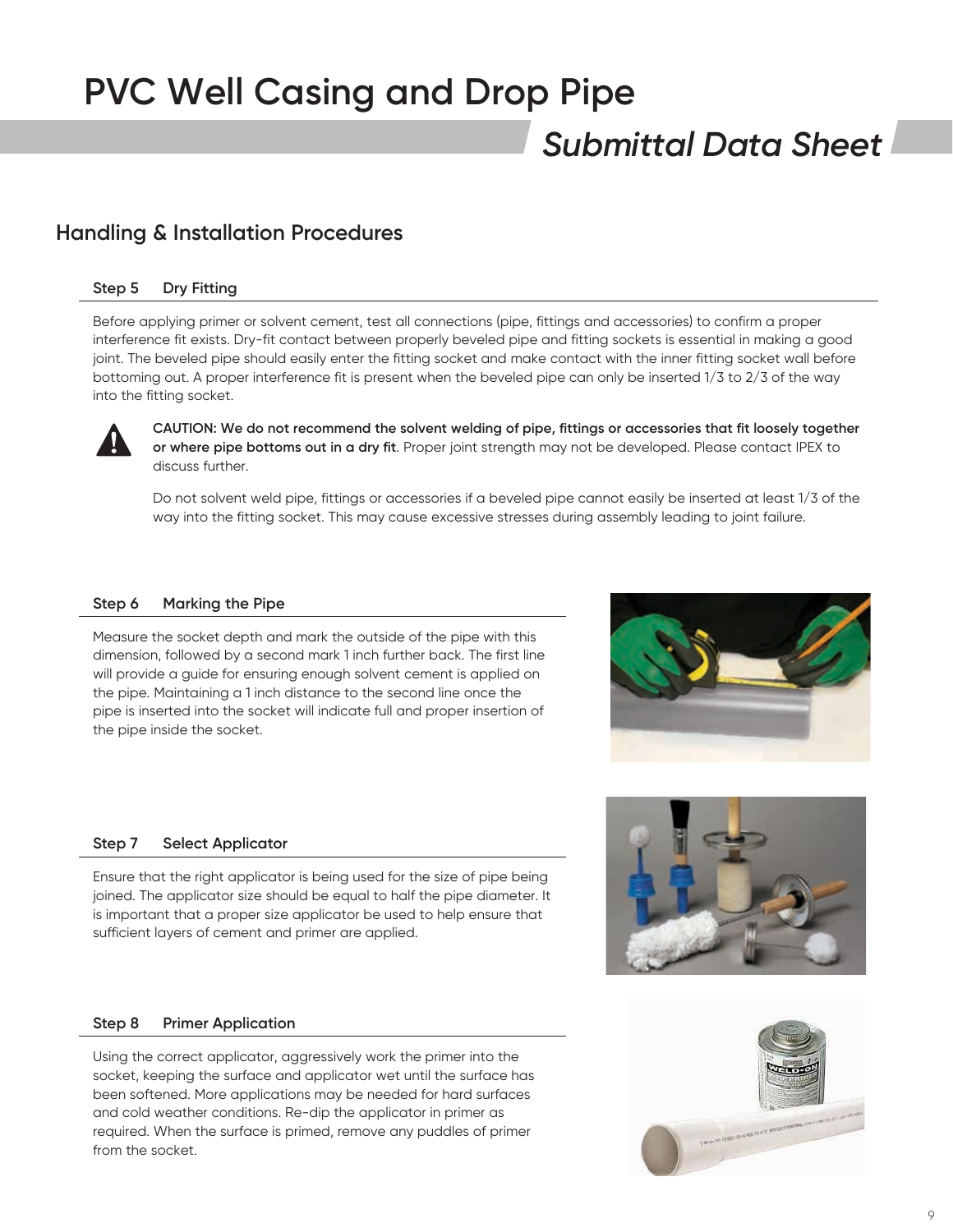## *Submittal Data Sheet*

### **Handling & Installation Procedures**

#### **Step 5 Dry Fitting**

Before applying primer or solvent cement, test all connections (pipe, fittings and accessories) to confirm a proper interference fit exists. Dry-fit contact between properly beveled pipe and fitting sockets is essential in making a good joint. The beveled pipe should easily enter the fitting socket and make contact with the inner fitting socket wall before bottoming out. A proper interference fit is present when the beveled pipe can only be inserted 1/3 to 2/3 of the way into the fitting socket.



**CAUTION: We do not recommend the solvent welding of pipe, fittings or accessories that fit loosely together or where pipe bottoms out in a dry fit**. Proper joint strength may not be developed. Please contact IPEX to discuss further.

Do not solvent weld pipe, fittings or accessories if a beveled pipe cannot easily be inserted at least 1/3 of the way into the fitting socket. This may cause excessive stresses during assembly leading to joint failure.

#### **Step 6 Marking the Pipe**

Measure the socket depth and mark the outside of the pipe with this dimension, followed by a second mark 1 inch further back. The first line will provide a guide for ensuring enough solvent cement is applied on the pipe. Maintaining a 1 inch distance to the second line once the pipe is inserted into the socket will indicate full and proper insertion of the pipe inside the socket.



#### **Step 7 Select Applicator**

Ensure that the right applicator is being used for the size of pipe being joined. The applicator size should be equal to half the pipe diameter. It is important that a proper size applicator be used to help ensure that sufficient layers of cement and primer are applied.

#### **Step 8 Primer Application**

Using the correct applicator, aggressively work the primer into the socket, keeping the surface and applicator wet until the surface has been softened. More applications may be needed for hard surfaces and cold weather conditions. Re-dip the applicator in primer as required. When the surface is primed, remove any puddles of primer from the socket.



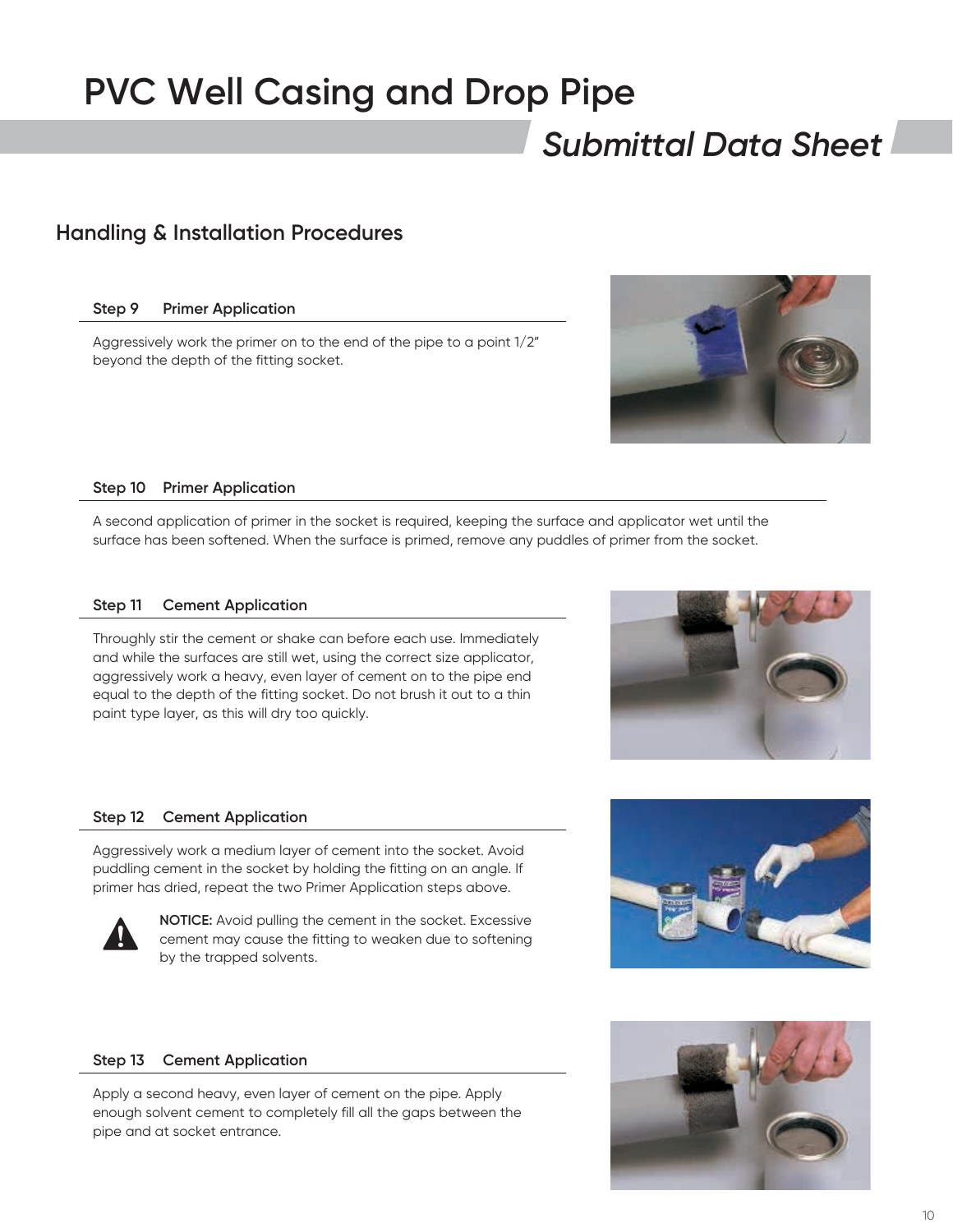## *Submittal Data Sheet*

### **Handling & Installation Procedures**

#### **Step 9 Primer Application**

Aggressively work the primer on to the end of the pipe to a point 1/2" beyond the depth of the fitting socket.



#### **Step 10 Primer Application**

A second application of primer in the socket is required, keeping the surface and applicator wet until the surface has been softened. When the surface is primed, remove any puddles of primer from the socket.

#### **Step 11 Cement Application**

Throughly stir the cement or shake can before each use. Immediately and while the surfaces are still wet, using the correct size applicator, aggressively work a heavy, even layer of cement on to the pipe end equal to the depth of the fitting socket. Do not brush it out to a thin paint type layer, as this will dry too quickly.



#### **Step 12 Cement Application**

Aggressively work a medium layer of cement into the socket. Avoid puddling cement in the socket by holding the fitting on an angle. If primer has dried, repeat the two Primer Application steps above.



**NOTICE:** Avoid pulling the cement in the socket. Excessive cement may cause the fitting to weaken due to softening by the trapped solvents.



#### **Step 13 Cement Application**

Apply a second heavy, even layer of cement on the pipe. Apply enough solvent cement to completely fill all the gaps between the pipe and at socket entrance.

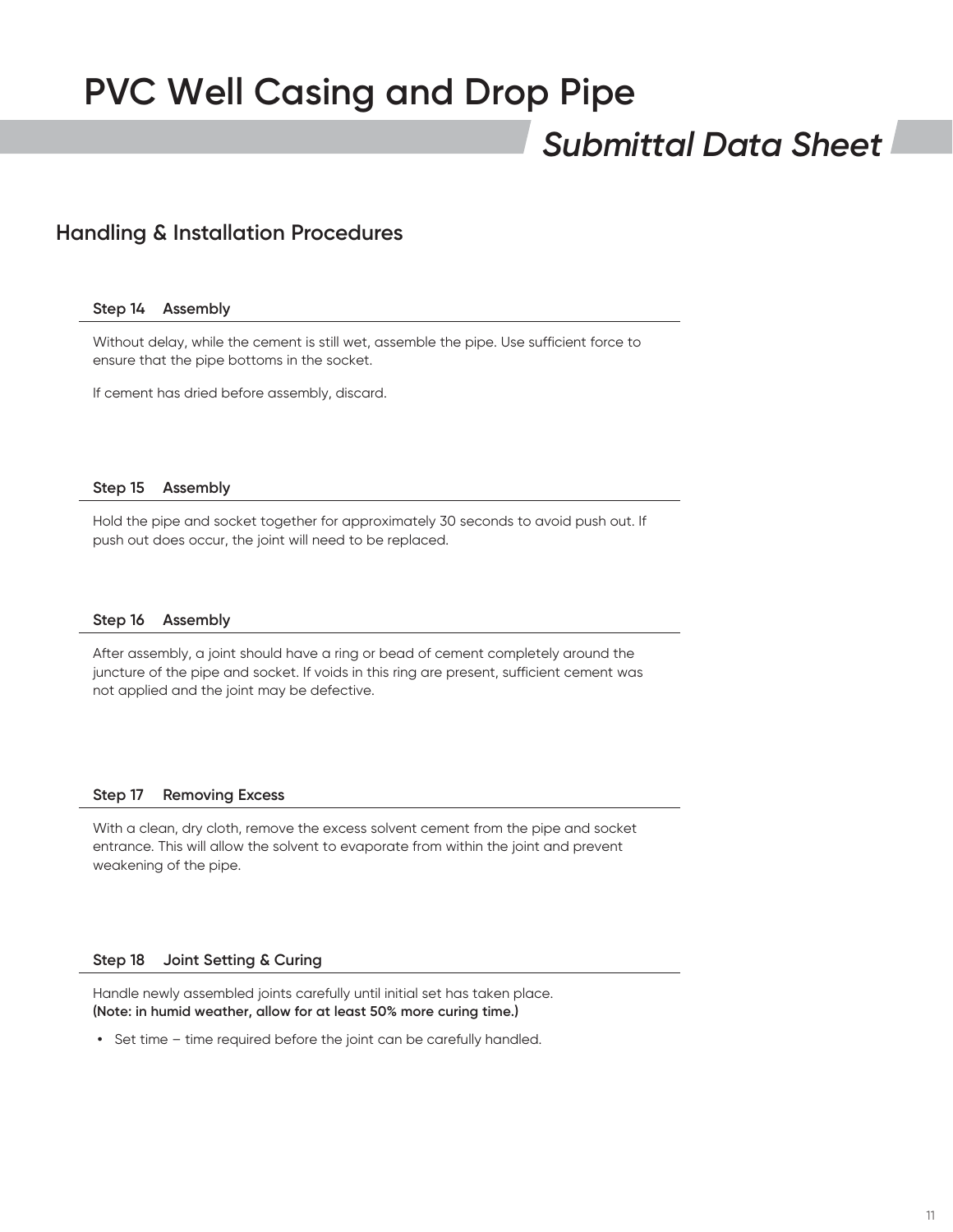## *Submittal Data Sheet*

### **Handling & Installation Procedures**

#### **Step 14 Assembly**

Without delay, while the cement is still wet, assemble the pipe. Use sufficient force to ensure that the pipe bottoms in the socket.

If cement has dried before assembly, discard.

#### **Step 15 Assembly**

Hold the pipe and socket together for approximately 30 seconds to avoid push out. If push out does occur, the joint will need to be replaced.

#### **Step 16 Assembly**

After assembly, a joint should have a ring or bead of cement completely around the juncture of the pipe and socket. If voids in this ring are present, sufficient cement was not applied and the joint may be defective.

#### **Step 17 Removing Excess**

With a clean, dry cloth, remove the excess solvent cement from the pipe and socket entrance. This will allow the solvent to evaporate from within the joint and prevent weakening of the pipe.

#### **Step 18 Joint Setting & Curing**

Handle newly assembled joints carefully until initial set has taken place. **(Note: in humid weather, allow for at least 50% more curing time.)**

**•** Set time – time required before the joint can be carefully handled.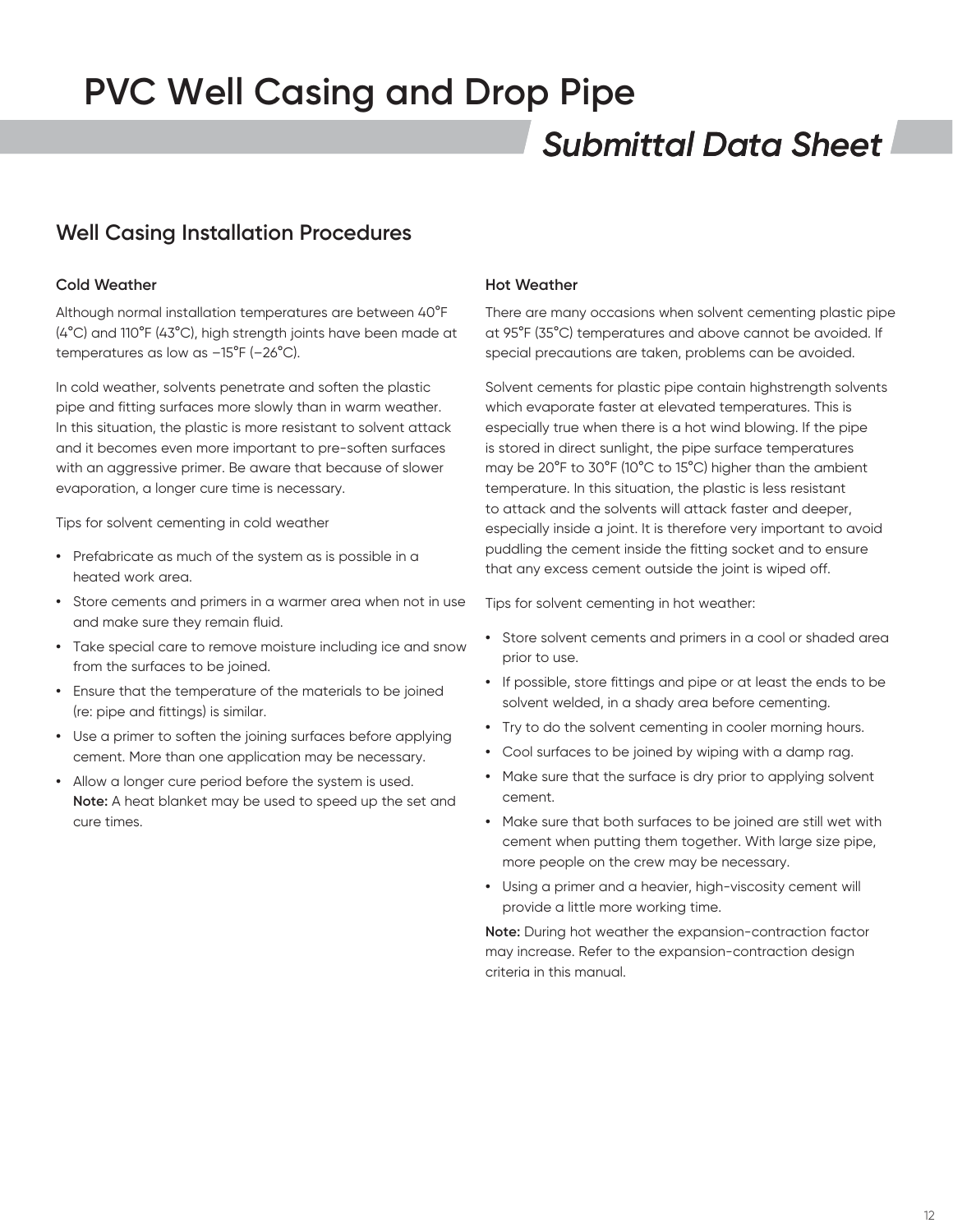## *Submittal Data Sheet*

## **Well Casing Installation Procedures**

#### **Cold Weather**

Although normal installation temperatures are between 40°F (4°C) and 110°F (43°C), high strength joints have been made at temperatures as low as –15°F (–26°C).

In cold weather, solvents penetrate and soften the plastic pipe and fitting surfaces more slowly than in warm weather. In this situation, the plastic is more resistant to solvent attack and it becomes even more important to pre-soften surfaces with an aggressive primer. Be aware that because of slower evaporation, a longer cure time is necessary.

Tips for solvent cementing in cold weather

- **•** Prefabricate as much of the system as is possible in a heated work area.
- **•** Store cements and primers in a warmer area when not in use and make sure they remain fluid.
- **•** Take special care to remove moisture including ice and snow from the surfaces to be joined.
- **•** Ensure that the temperature of the materials to be joined (re: pipe and fittings) is similar.
- **•** Use a primer to soften the joining surfaces before applying cement. More than one application may be necessary.
- **•** Allow a longer cure period before the system is used. **Note:** A heat blanket may be used to speed up the set and cure times.

#### **Hot Weather**

There are many occasions when solvent cementing plastic pipe at 95°F (35°C) temperatures and above cannot be avoided. If special precautions are taken, problems can be avoided.

Solvent cements for plastic pipe contain highstrength solvents which evaporate faster at elevated temperatures. This is especially true when there is a hot wind blowing. If the pipe is stored in direct sunlight, the pipe surface temperatures may be 20°F to 30°F (10°C to 15°C) higher than the ambient temperature. In this situation, the plastic is less resistant to attack and the solvents will attack faster and deeper, especially inside a joint. It is therefore very important to avoid puddling the cement inside the fitting socket and to ensure that any excess cement outside the joint is wiped off.

Tips for solvent cementing in hot weather:

- **•** Store solvent cements and primers in a cool or shaded area prior to use.
- **•** If possible, store fittings and pipe or at least the ends to be solvent welded, in a shady area before cementing.
- **•** Try to do the solvent cementing in cooler morning hours.
- **•** Cool surfaces to be joined by wiping with a damp rag.
- **•** Make sure that the surface is dry prior to applying solvent cement.
- **•** Make sure that both surfaces to be joined are still wet with cement when putting them together. With large size pipe, more people on the crew may be necessary.
- **•** Using a primer and a heavier, high-viscosity cement will provide a little more working time.

**Note:** During hot weather the expansion-contraction factor may increase. Refer to the expansion-contraction design criteria in this manual.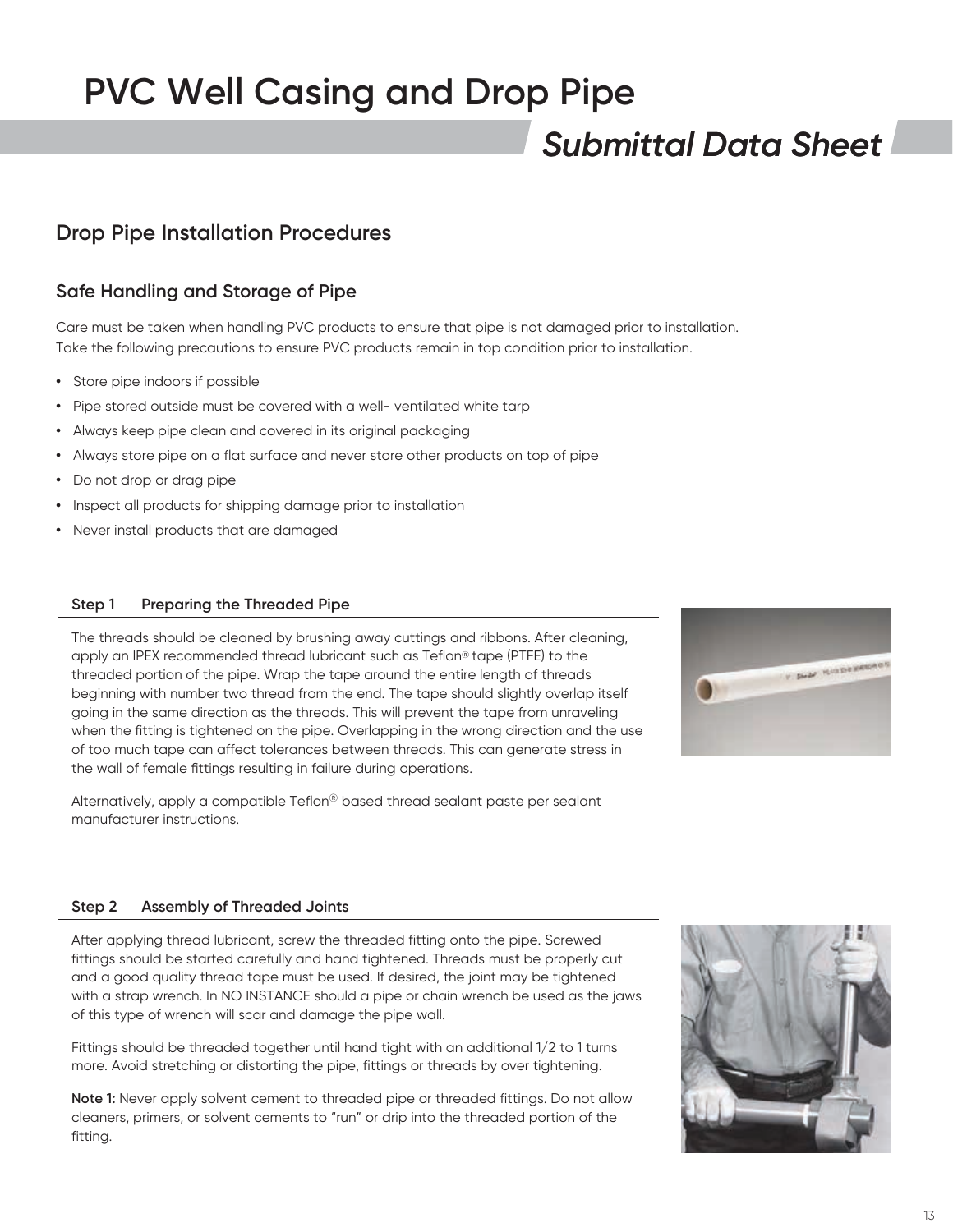## *Submittal Data Sheet*

### **Drop Pipe Installation Procedures**

### **Safe Handling and Storage of Pipe**

Care must be taken when handling PVC products to ensure that pipe is not damaged prior to installation. Take the following precautions to ensure PVC products remain in top condition prior to installation.

- **•** Store pipe indoors if possible
- **•** Pipe stored outside must be covered with a well- ventilated white tarp
- **•** Always keep pipe clean and covered in its original packaging
- **•** Always store pipe on a flat surface and never store other products on top of pipe
- **•** Do not drop or drag pipe
- **•** Inspect all products for shipping damage prior to installation
- **•** Never install products that are damaged

#### **Step 1 Preparing the Threaded Pipe**

The threads should be cleaned by brushing away cuttings and ribbons. After cleaning, apply an IPEX recommended thread lubricant such as Teflon® tape (PTFE) to the threaded portion of the pipe. Wrap the tape around the entire length of threads beginning with number two thread from the end. The tape should slightly overlap itself going in the same direction as the threads. This will prevent the tape from unraveling when the fitting is tightened on the pipe. Overlapping in the wrong direction and the use of too much tape can affect tolerances between threads. This can generate stress in the wall of female fittings resulting in failure during operations.

Alternatively, apply a compatible Teflon® based thread sealant paste per sealant manufacturer instructions.



#### **Step 2 Assembly of Threaded Joints**

After applying thread lubricant, screw the threaded fitting onto the pipe. Screwed fittings should be started carefully and hand tightened. Threads must be properly cut and a good quality thread tape must be used. If desired, the joint may be tightened with a strap wrench. In NO INSTANCE should a pipe or chain wrench be used as the jaws of this type of wrench will scar and damage the pipe wall.

Fittings should be threaded together until hand tight with an additional 1/2 to 1 turns more. Avoid stretching or distorting the pipe, fittings or threads by over tightening.

**Note 1:** Never apply solvent cement to threaded pipe or threaded fittings. Do not allow cleaners, primers, or solvent cements to "run" or drip into the threaded portion of the fitting.

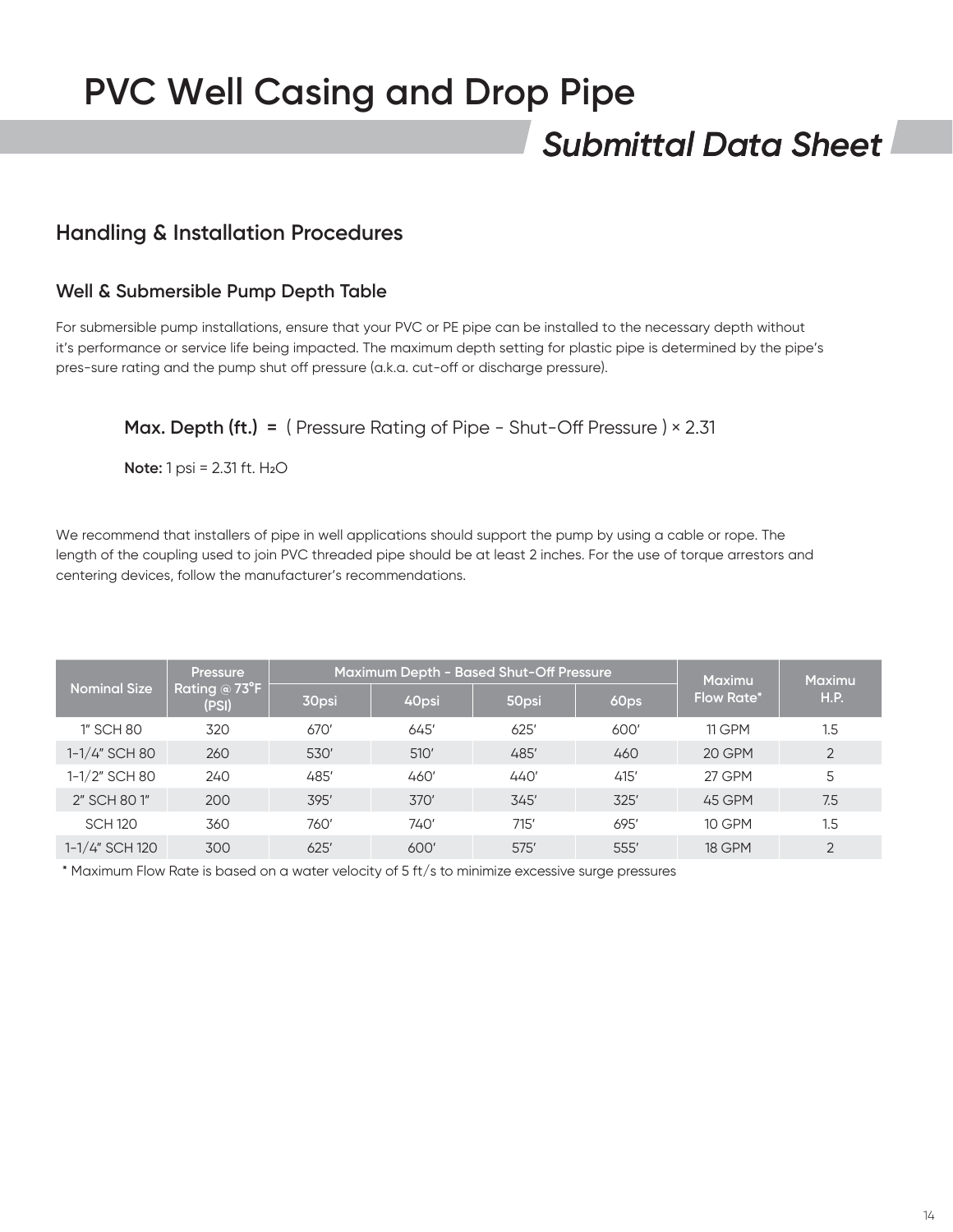## *Submittal Data Sheet*

### **Handling & Installation Procedures**

#### **Well & Submersible Pump Depth Table**

For submersible pump installations, ensure that your PVC or PE pipe can be installed to the necessary depth without it's performance or service life being impacted. The maximum depth setting for plastic pipe is determined by the pipe's pres-sure rating and the pump shut off pressure (a.k.a. cut-off or discharge pressure).

### **Max. Depth (ft.) =** ( Pressure Rating of Pipe - Shut-Off Pressure ) × 2.31

**Note:** 1 psi = 2.31 ft. H<sub>2</sub>O

We recommend that installers of pipe in well applications should support the pump by using a cable or rope. The length of the coupling used to join PVC threaded pipe should be at least 2 inches. For the use of torque arrestors and centering devices, follow the manufacturer's recommendations.

| <b>Nominal Size</b> | <b>Pressure</b><br>Rating $@73^\circ F$<br>(PSI) | Maximum Depth - Based Shut-Off Pressure |       |       |      | <b>Maximu</b>     | <b>Maximu</b>  |
|---------------------|--------------------------------------------------|-----------------------------------------|-------|-------|------|-------------------|----------------|
|                     |                                                  | 30psi                                   | 40psi | 50psi | 60ps | <b>Flow Rate*</b> | H.P.           |
| 1" SCH 80           | 320                                              | 670'                                    | 645'  | 625'  | 600' | 11 GPM            | 1.5            |
| 1-1/4" SCH 80       | 260                                              | 530'                                    | 510'  | 485'  | 460  | 20 GPM            | $\overline{2}$ |
| $1 - 1/2$ " SCH 80  | 240                                              | 485'                                    | 460'  | 440'  | 415' | 27 GPM            | 5              |
| 2" SCH 801"         | 200                                              | 395'                                    | 370'  | 345'  | 325' | 45 GPM            | 7.5            |
| <b>SCH 120</b>      | 360                                              | 760'                                    | 740'  | 715'  | 695' | <b>10 GPM</b>     | 1.5            |
| 1-1/4" SCH 120      | 300                                              | 625'                                    | 600'  | 575'  | 555' | <b>18 GPM</b>     | $\overline{2}$ |

\* Maximum Flow Rate is based on a water velocity of 5 ft/s to minimize excessive surge pressures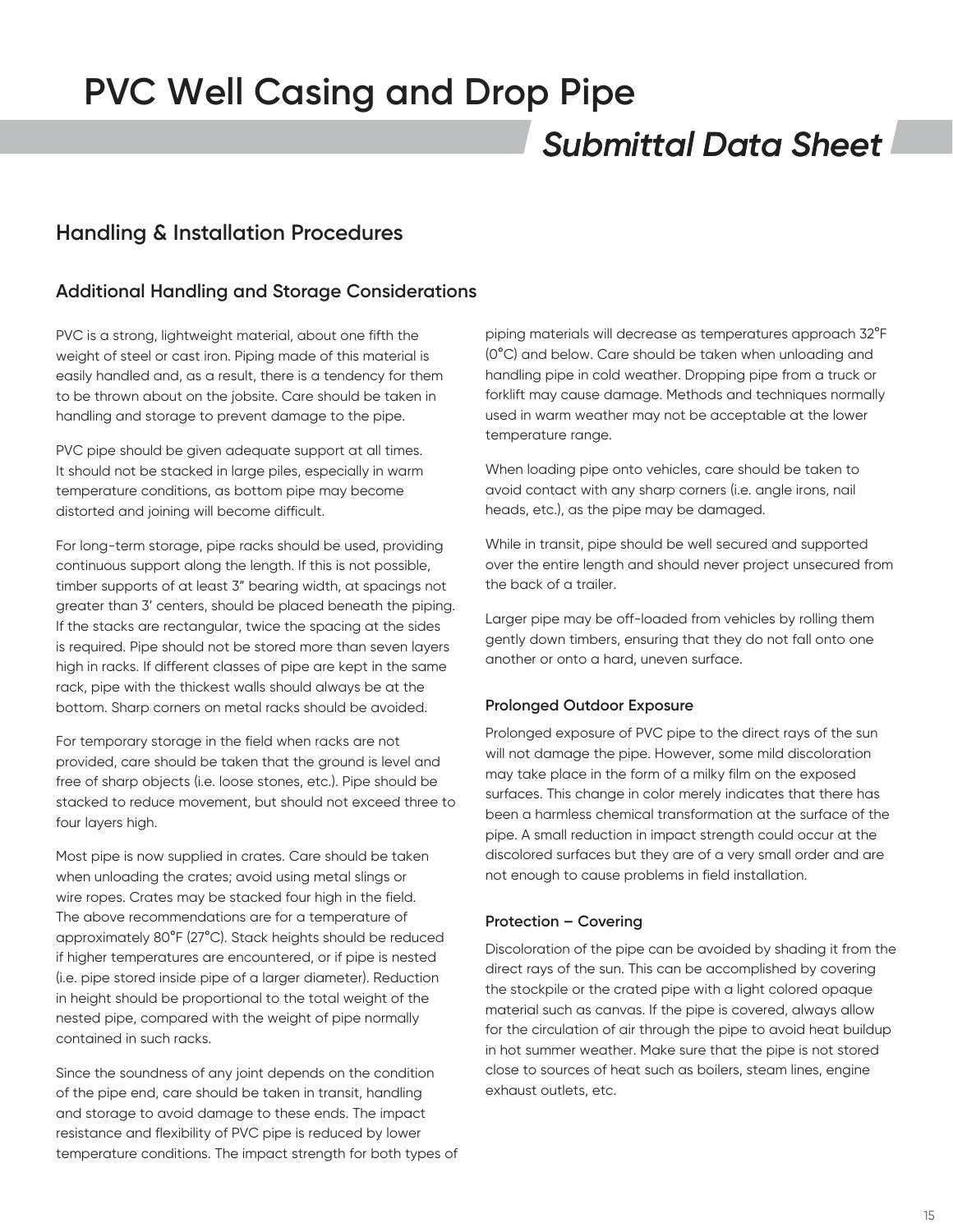## *Submittal Data Sheet*

### **Handling & Installation Procedures**

### **Additional Handling and Storage Considerations**

PVC is a strong, lightweight material, about one fifth the weight of steel or cast iron. Piping made of this material is easily handled and, as a result, there is a tendency for them to be thrown about on the jobsite. Care should be taken in handling and storage to prevent damage to the pipe.

PVC pipe should be given adequate support at all times. It should not be stacked in large piles, especially in warm temperature conditions, as bottom pipe may become distorted and joining will become difficult.

For long-term storage, pipe racks should be used, providing continuous support along the length. If this is not possible, timber supports of at least 3" bearing width, at spacings not greater than 3' centers, should be placed beneath the piping. If the stacks are rectangular, twice the spacing at the sides is required. Pipe should not be stored more than seven layers high in racks. If different classes of pipe are kept in the same rack, pipe with the thickest walls should always be at the bottom. Sharp corners on metal racks should be avoided.

For temporary storage in the field when racks are not provided, care should be taken that the ground is level and free of sharp objects (i.e. loose stones, etc.). Pipe should be stacked to reduce movement, but should not exceed three to four layers high.

Most pipe is now supplied in crates. Care should be taken when unloading the crates; avoid using metal slings or wire ropes. Crates may be stacked four high in the field. The above recommendations are for a temperature of approximately 80°F (27°C). Stack heights should be reduced if higher temperatures are encountered, or if pipe is nested (i.e. pipe stored inside pipe of a larger diameter). Reduction in height should be proportional to the total weight of the nested pipe, compared with the weight of pipe normally contained in such racks.

Since the soundness of any joint depends on the condition of the pipe end, care should be taken in transit, handling and storage to avoid damage to these ends. The impact resistance and flexibility of PVC pipe is reduced by lower temperature conditions. The impact strength for both types of

piping materials will decrease as temperatures approach 32°F (0°C) and below. Care should be taken when unloading and handling pipe in cold weather. Dropping pipe from a truck or forklift may cause damage. Methods and techniques normally used in warm weather may not be acceptable at the lower temperature range.

When loading pipe onto vehicles, care should be taken to avoid contact with any sharp corners (i.e. angle irons, nail heads, etc.), as the pipe may be damaged.

While in transit, pipe should be well secured and supported over the entire length and should never project unsecured from the back of a trailer.

Larger pipe may be off-loaded from vehicles by rolling them gently down timbers, ensuring that they do not fall onto one another or onto a hard, uneven surface.

#### **Prolonged Outdoor Exposure**

Prolonged exposure of PVC pipe to the direct rays of the sun will not damage the pipe. However, some mild discoloration may take place in the form of a milky film on the exposed surfaces. This change in color merely indicates that there has been a harmless chemical transformation at the surface of the pipe. A small reduction in impact strength could occur at the discolored surfaces but they are of a very small order and are not enough to cause problems in field installation.

#### **Protection – Covering**

Discoloration of the pipe can be avoided by shading it from the direct rays of the sun. This can be accomplished by covering the stockpile or the crated pipe with a light colored opaque material such as canvas. If the pipe is covered, always allow for the circulation of air through the pipe to avoid heat buildup in hot summer weather. Make sure that the pipe is not stored close to sources of heat such as boilers, steam lines, engine exhaust outlets, etc.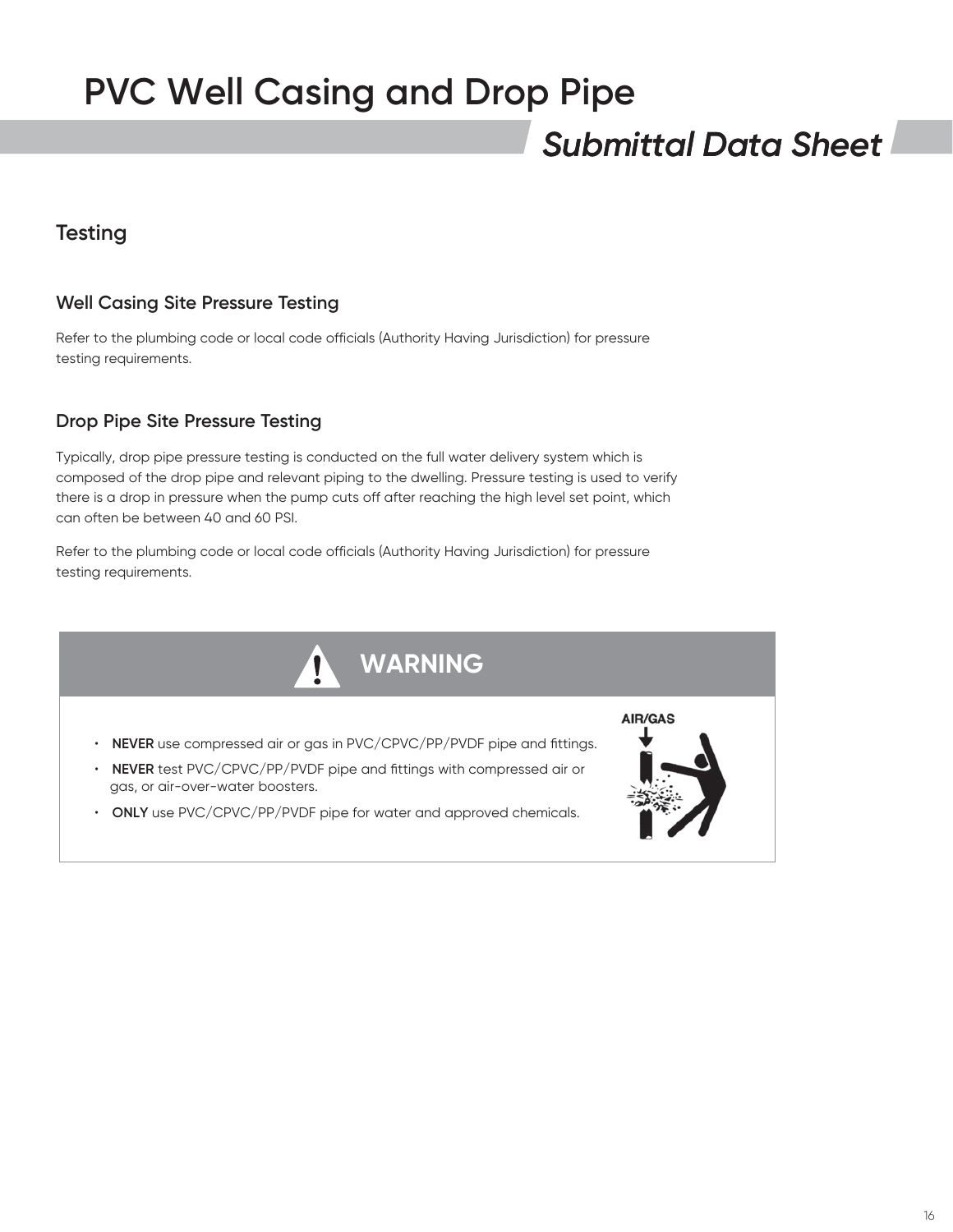## *Submittal Data Sheet*

## **Testing**

### **Well Casing Site Pressure Testing**

Refer to the plumbing code or local code officials (Authority Having Jurisdiction) for pressure testing requirements.

### **Drop Pipe Site Pressure Testing**

Typically, drop pipe pressure testing is conducted on the full water delivery system which is composed of the drop pipe and relevant piping to the dwelling. Pressure testing is used to verify there is a drop in pressure when the pump cuts off after reaching the high level set point, which can often be between 40 and 60 PSI.

Refer to the plumbing code or local code officials (Authority Having Jurisdiction) for pressure testing requirements.

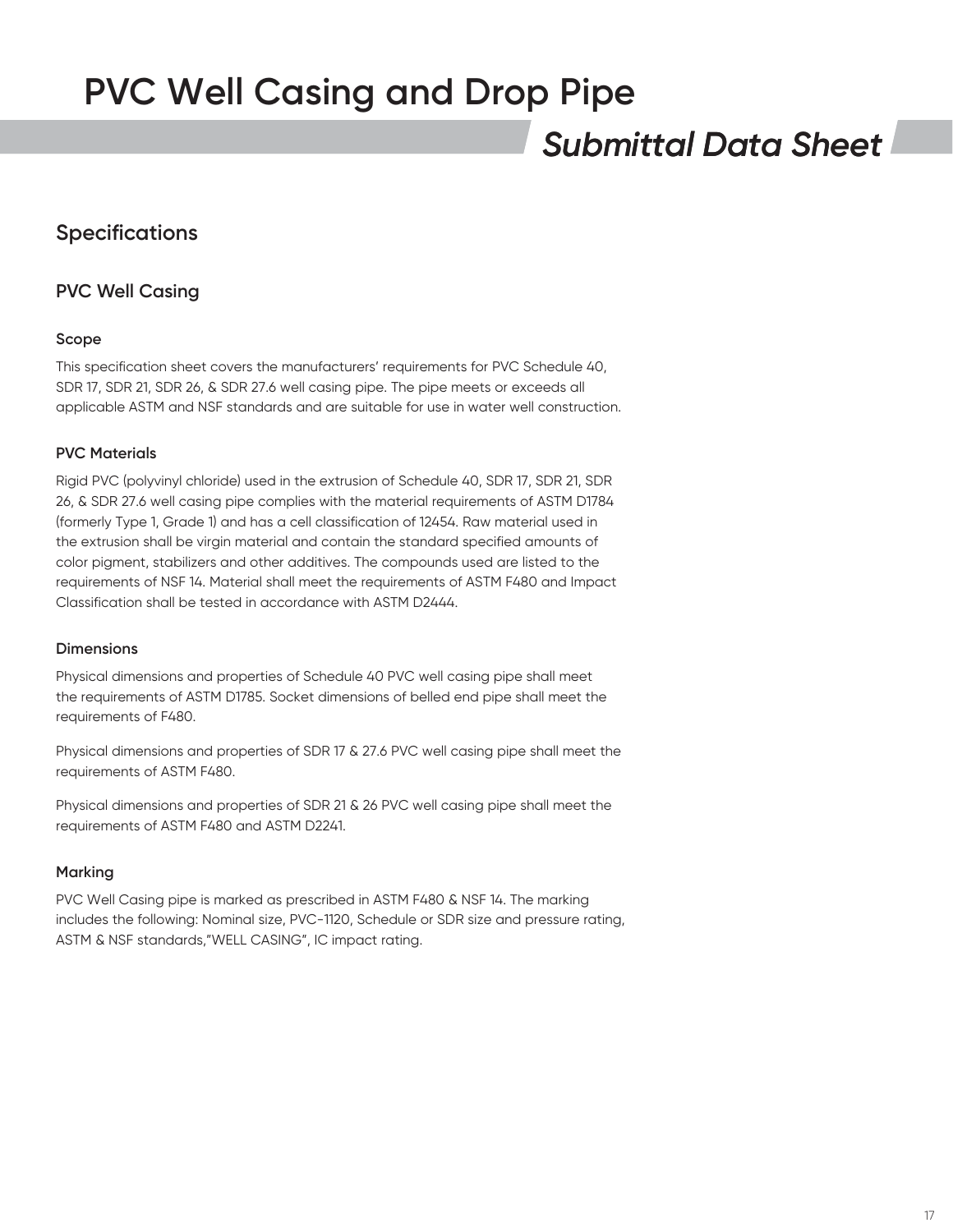## *Submittal Data Sheet*

## **Specifications**

### **PVC Well Casing**

#### **Scope**

This specification sheet covers the manufacturers' requirements for PVC Schedule 40, SDR 17, SDR 21, SDR 26, & SDR 27.6 well casing pipe. The pipe meets or exceeds all applicable ASTM and NSF standards and are suitable for use in water well construction.

#### **PVC Materials**

Rigid PVC (polyvinyl chloride) used in the extrusion of Schedule 40, SDR 17, SDR 21, SDR 26, & SDR 27.6 well casing pipe complies with the material requirements of ASTM D1784 (formerly Type 1, Grade 1) and has a cell classification of 12454. Raw material used in the extrusion shall be virgin material and contain the standard specified amounts of color pigment, stabilizers and other additives. The compounds used are listed to the requirements of NSF 14. Material shall meet the requirements of ASTM F480 and Impact Classification shall be tested in accordance with ASTM D2444.

#### **Dimensions**

Physical dimensions and properties of Schedule 40 PVC well casing pipe shall meet the requirements of ASTM D1785. Socket dimensions of belled end pipe shall meet the requirements of F480.

Physical dimensions and properties of SDR 17 & 27.6 PVC well casing pipe shall meet the requirements of ASTM F480.

Physical dimensions and properties of SDR 21 & 26 PVC well casing pipe shall meet the requirements of ASTM F480 and ASTM D2241.

#### **Marking**

PVC Well Casing pipe is marked as prescribed in ASTM F480 & NSF 14. The marking includes the following: Nominal size, PVC-1120, Schedule or SDR size and pressure rating, ASTM & NSF standards,"WELL CASING", IC impact rating.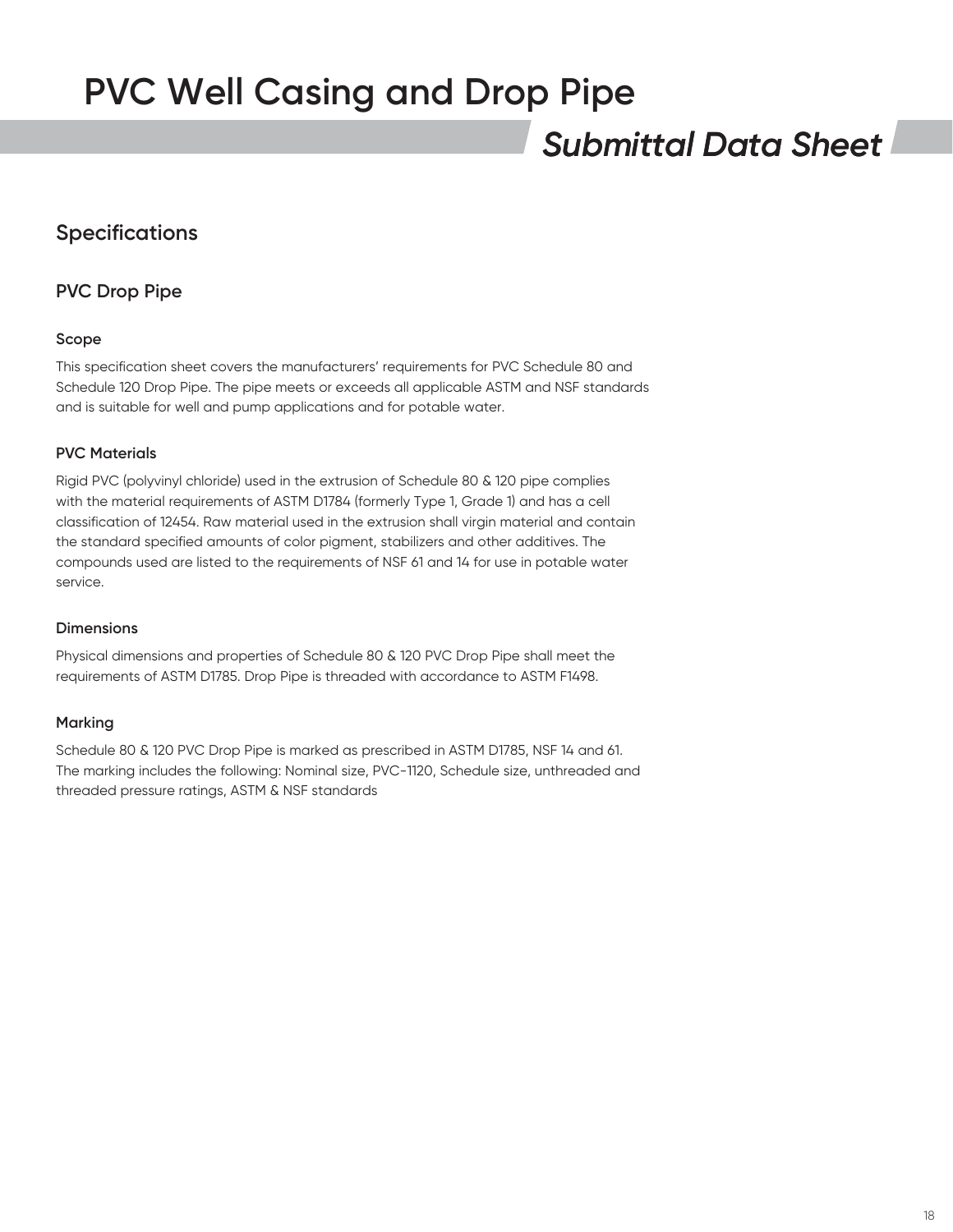## *Submittal Data Sheet*

## **Specifications**

### **PVC Drop Pipe**

#### **Scope**

This specification sheet covers the manufacturers' requirements for PVC Schedule 80 and Schedule 120 Drop Pipe. The pipe meets or exceeds all applicable ASTM and NSF standards and is suitable for well and pump applications and for potable water.

#### **PVC Materials**

Rigid PVC (polyvinyl chloride) used in the extrusion of Schedule 80 & 120 pipe complies with the material requirements of ASTM D1784 (formerly Type 1, Grade 1) and has a cell classification of 12454. Raw material used in the extrusion shall virgin material and contain the standard specified amounts of color pigment, stabilizers and other additives. The compounds used are listed to the requirements of NSF 61 and 14 for use in potable water service.

#### **Dimensions**

Physical dimensions and properties of Schedule 80 & 120 PVC Drop Pipe shall meet the requirements of ASTM D1785. Drop Pipe is threaded with accordance to ASTM F1498.

#### **Marking**

Schedule 80 & 120 PVC Drop Pipe is marked as prescribed in ASTM D1785, NSF 14 and 61. The marking includes the following: Nominal size, PVC-1120, Schedule size, unthreaded and threaded pressure ratings, ASTM & NSF standards